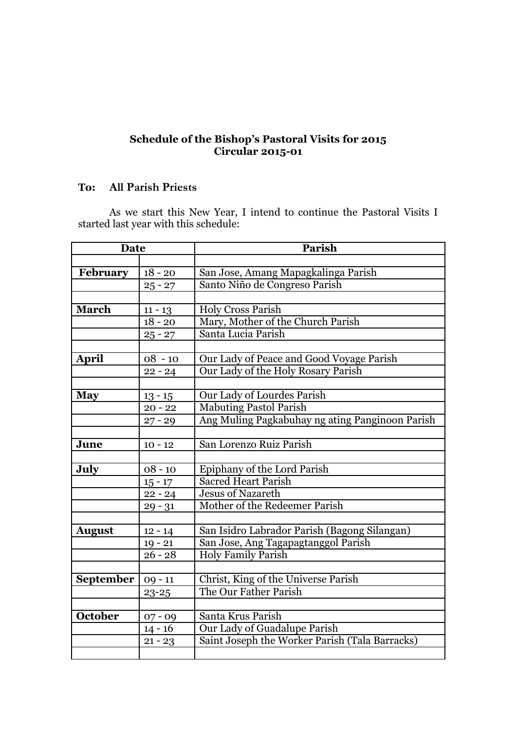## **Schedule of the Bishop's Pastoral Visits for 2015 Circular 2015-01**

## **To: All Parish Priests**

As we start this New Year, I intend to continue the Pastoral Visits I started last year with this schedule:

| <b>Date</b>     |           | Parish                                          |
|-----------------|-----------|-------------------------------------------------|
|                 |           |                                                 |
| <b>February</b> | $18 - 20$ | San Jose, Amang Mapagkalinga Parish             |
|                 | $25 - 27$ | Santo Niño de Congreso Parish                   |
|                 |           |                                                 |
| <b>March</b>    | $11 - 13$ | <b>Holy Cross Parish</b>                        |
|                 | $18 - 20$ | Mary, Mother of the Church Parish               |
|                 | $25 - 27$ | Santa Lucia Parish                              |
|                 |           |                                                 |
| <b>April</b>    | $08 - 10$ | Our Lady of Peace and Good Voyage Parish        |
|                 | $22 - 24$ | Our Lady of the Holy Rosary Parish              |
|                 |           |                                                 |
| <b>May</b>      | $13 - 15$ | Our Lady of Lourdes Parish                      |
|                 | $20 - 22$ | <b>Mabuting Pastol Parish</b>                   |
|                 | $27 - 29$ | Ang Muling Pagkabuhay ng ating Panginoon Parish |
|                 |           |                                                 |
| June            | $10 - 12$ | San Lorenzo Ruiz Parish                         |
|                 |           |                                                 |
| July            | $08 - 10$ | Epiphany of the Lord Parish                     |
|                 | $15 - 17$ | <b>Sacred Heart Parish</b>                      |
|                 | $22 - 24$ | <b>Jesus of Nazareth</b>                        |
|                 | $29 - 31$ | Mother of the Redeemer Parish                   |
|                 |           |                                                 |
| <b>August</b>   | $12 - 14$ | San Isidro Labrador Parish (Bagong Silangan)    |
|                 | $19 - 21$ | San Jose, Ang Tagapagtanggol Parish             |
|                 | $26 - 28$ | <b>Holy Family Parish</b>                       |
|                 |           |                                                 |
| September       | $09 - 11$ | Christ, King of the Universe Parish             |
|                 | $23 - 25$ | The Our Father Parish                           |
|                 |           |                                                 |
| <b>October</b>  | $07 - 09$ | Santa Krus Parish                               |
|                 | $14 - 16$ | Our Lady of Guadalupe Parish                    |
|                 | $21 - 23$ | Saint Joseph the Worker Parish (Tala Barracks)  |
|                 |           |                                                 |